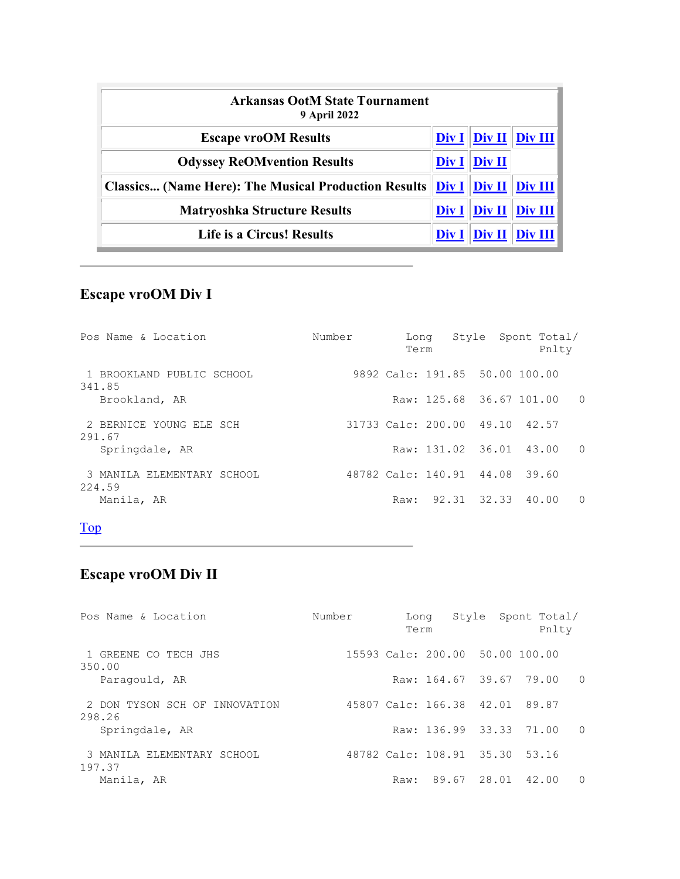| <b>Arkansas OotM State Tournament</b><br><b>9 April 2022</b> |                   |                      |                                                                                  |  |  |  |
|--------------------------------------------------------------|-------------------|----------------------|----------------------------------------------------------------------------------|--|--|--|
| <b>Escape vroOM Results</b>                                  |                   |                      | $\overline{\text{Div I}}$ $\overline{\text{Div II}}$ $\overline{\text{Div III}}$ |  |  |  |
| <b>Odyssey ReOMvention Results</b>                           | Div I             | Div II               |                                                                                  |  |  |  |
| <b>Classics (Name Here): The Musical Production Results</b>  |                   | $Div I \vert Div II$ | Div III                                                                          |  |  |  |
| <b>Matryoshka Structure Results</b>                          | $Div I \parallel$ | Div II               | Div III                                                                          |  |  |  |
| Life is a Circus! Results                                    | Div 1             | Div II               |                                                                                  |  |  |  |

# Escape vroOM Div I

| Pos Name & Location                  | Number | Long<br>Term |                                |  | Style Spont Total/<br>Pnlty |          |
|--------------------------------------|--------|--------------|--------------------------------|--|-----------------------------|----------|
| 1 BROOKLAND PUBLIC SCHOOL<br>341.85  |        |              | 9892 Calc: 191.85 50.00 100.00 |  |                             |          |
| Brookland, AR                        |        |              | Raw: 125.68 36.67 101.00       |  |                             | $\Omega$ |
| 2 BERNICE YOUNG ELE SCH<br>291.67    |        |              | 31733 Calc: 200.00 49.10 42.57 |  |                             |          |
| Springdale, AR                       |        |              | Raw: 131.02 36.01 43.00        |  |                             | $\Omega$ |
| 3 MANILA ELEMENTARY SCHOOL<br>224.59 |        |              | 48782 Calc: 140.91 44.08       |  | 39.60                       |          |
| Manila, AR                           |        |              | Raw: 92.31 32.33 40.00         |  |                             | $\Omega$ |

## Top

# Escape vroOM Div II

the control of the control of the

| Pos Name & Location                     | Number | Long<br>Term                    |       | Style Spont Total/ | Pnlty |                  |
|-----------------------------------------|--------|---------------------------------|-------|--------------------|-------|------------------|
| 1 GREENE CO TECH JHS<br>350.00          |        | 15593 Calc: 200.00 50.00 100.00 |       |                    |       |                  |
| Paragould, AR                           |        |                                 |       | Raw: 164.67 39.67  | 79.00 | $\Omega$         |
| 2 DON TYSON SCH OF INNOVATION<br>298.26 |        | 45807 Calc: 166.38 42.01 89.87  |       |                    |       |                  |
| Springdale, AR                          |        |                                 |       | Raw: 136.99 33.33  | 71.00 | $\Omega$         |
| 3 MANILA ELEMENTARY SCHOOL<br>197.37    |        | 48782 Calc: 108.91 35.30 53.16  |       |                    |       |                  |
| Manila, AR                              |        | Raw:                            | 89.67 | 28.01              | 42.00 | $\left( \right)$ |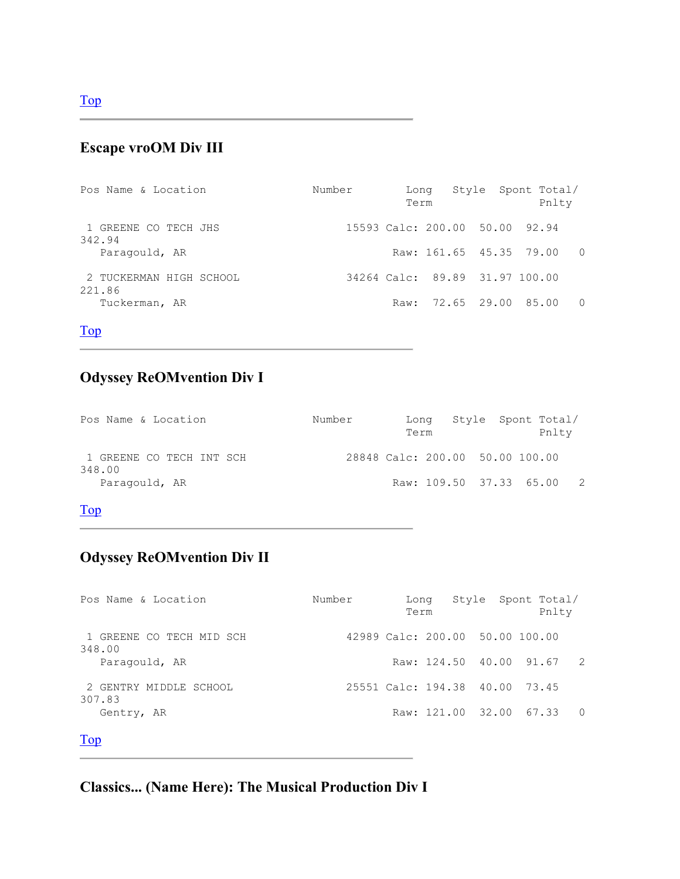## Escape vroOM Div III

| Pos Name & Location               | Number | Long<br>Term |                                | Style Spont Total/<br>Pnlty |          |
|-----------------------------------|--------|--------------|--------------------------------|-----------------------------|----------|
| 1 GREENE CO TECH JHS<br>342.94    |        |              | 15593 Calc: 200.00 50.00 92.94 |                             |          |
| Paragould, AR                     |        |              |                                | Raw: 161.65 45.35 79.00 0   |          |
| 2 TUCKERMAN HIGH SCHOOL<br>221.86 |        |              | 34264 Calc: 89.89 31.97 100.00 |                             |          |
| Tuckerman, AR                     |        | Raw:         |                                | 72.65 29.00 85.00           | $\Omega$ |

Top

## Odyssey ReOMvention Div I

| Number | Long<br>Term |  | Pnlty |                                                                                    |
|--------|--------------|--|-------|------------------------------------------------------------------------------------|
|        |              |  |       |                                                                                    |
|        |              |  |       |                                                                                    |
|        |              |  |       | Style Spont Total/<br>28848 Calc: 200.00 50.00 100.00<br>Raw: 109.50 37.33 65.00 2 |

#### Top

## Odyssey ReOMvention Div II

| Pos Name & Location                | Number | Long<br>Term                    |                         | Style Spont Total/<br>Pnlty |          |
|------------------------------------|--------|---------------------------------|-------------------------|-----------------------------|----------|
| 1 GREENE CO TECH MID SCH<br>348.00 |        | 42989 Calc: 200.00 50.00 100.00 |                         |                             |          |
| Paragould, AR                      |        |                                 | Raw: 124.50 40.00 91.67 | $\overline{2}$              |          |
| 2 GENTRY MIDDLE SCHOOL<br>307.83   |        | 25551 Calc: 194.38 40.00 73.45  |                         |                             |          |
| Gentry, AR                         |        |                                 | Raw: 121.00 32.00 67.33 |                             | $\Omega$ |

### Top

Classics... (Name Here): The Musical Production Div I

Top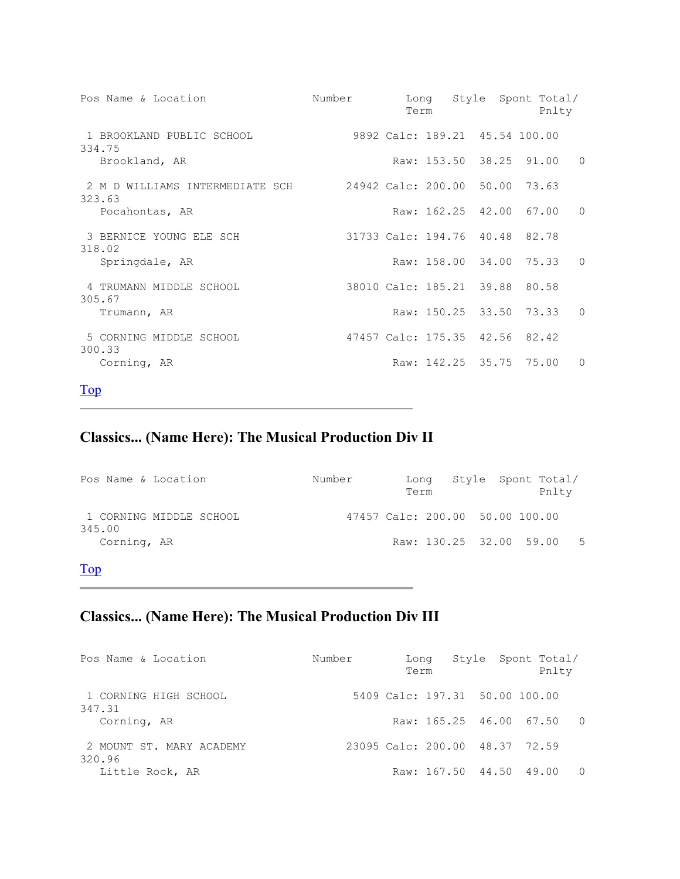| Pos Name & Location                       | Number | Term |                                | Long Style Spont Total/<br>Pnlty |           |
|-------------------------------------------|--------|------|--------------------------------|----------------------------------|-----------|
| 1 BROOKLAND PUBLIC SCHOOL<br>334.75       |        |      | 9892 Calc: 189.21 45.54 100.00 |                                  |           |
| Brookland, AR                             |        |      | Raw: 153.50 38.25 91.00        |                                  | $\Omega$  |
| 2 M D WILLIAMS INTERMEDIATE SCH<br>323.63 |        |      | 24942 Calc: 200.00 50.00 73.63 |                                  |           |
| Pocahontas, AR                            |        |      | Raw: 162.25 42.00 67.00        |                                  | $\Omega$  |
| 3 BERNICE YOUNG ELE SCH<br>318.02         |        |      | 31733 Calc: 194.76 40.48 82.78 |                                  |           |
| Springdale, AR                            |        |      | Raw: 158.00 34.00 75.33        |                                  | $\Omega$  |
| 4 TRUMANN MIDDLE SCHOOL<br>305.67         |        |      | 38010 Calc: 185.21 39.88 80.58 |                                  |           |
| Trumann, AR                               |        |      |                                | Raw: 150.25 33.50 73.33          | $\Omega$  |
| 5 CORNING MIDDLE SCHOOL<br>300.33         |        |      | 47457 Calc: 175.35 42.56 82.42 |                                  |           |
| Corning, AR                               |        |      | Raw: 142.25 35.75 75.00        |                                  | $\bigcap$ |

## Classics... (Name Here): The Musical Production Div II

| Pos Name & Location               | Number                          | Lona<br>Term            | Style Spont Total/ | Pnlty       |  |
|-----------------------------------|---------------------------------|-------------------------|--------------------|-------------|--|
| 1 CORNING MIDDLE SCHOOL<br>345.00 | 47457 Calc: 200.00 50.00 100.00 |                         |                    |             |  |
| Corning, AR                       |                                 | Raw: 130.25 32.00 59.00 |                    | $5^{\circ}$ |  |

## Top

## Classics... (Name Here): The Musical Production Div III

| Pos Name & Location                | Number | Long<br>Term                   | Style Spont Total/ | Pnlty |  |
|------------------------------------|--------|--------------------------------|--------------------|-------|--|
| 1 CORNING HIGH SCHOOL<br>347.31    |        | 5409 Calc: 197.31 50.00 100.00 |                    |       |  |
| Corning, AR                        |        | Raw: 165.25 46.00 67.50 0      |                    |       |  |
| 2 MOUNT ST. MARY ACADEMY<br>320.96 |        | 23095 Calc: 200.00 48.37 72.59 |                    |       |  |
| Little Rock, AR                    |        | Raw: 167.50 44.50 49.00        |                    |       |  |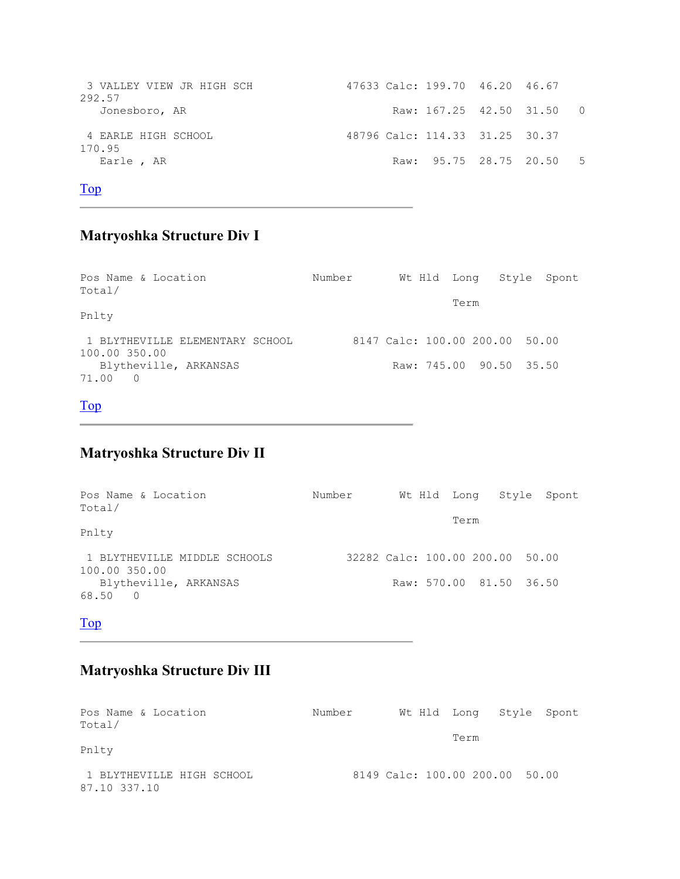```
 3 VALLEY VIEW JR HIGH SCH 47633 Calc: 199.70 46.20 46.67 
292.57<br>Jonesboro, AR
                                         Raw: 167.25 42.50 31.50 0
 4 EARLE HIGH SCHOOL 48796 Calc: 114.33 31.25 30.37 
170.95<br>Earle , AR
                                         Raw: 95.75 28.75 20.50 5
```
#### Matryoshka Structure Div I

| Pos Name & Location<br>Total/                    | Number |  |      |                                | Wt Hld Long Style Spont |
|--------------------------------------------------|--------|--|------|--------------------------------|-------------------------|
| Pnlty                                            |        |  | Term |                                |                         |
| 1 BLYTHEVILLE ELEMENTARY SCHOOL<br>100.00 350.00 |        |  |      | 8147 Calc: 100.00 200.00 50.00 |                         |
| Blytheville, ARKANSAS<br>71.00<br>$\overline{0}$ |        |  |      | Raw: 745.00 90.50 35.50        |                         |

#### Top

#### Matryoshka Structure Div II

| Pos Name & Location<br>Total/                 | Number |  |                                 | Wt Hld Long Style Spont |
|-----------------------------------------------|--------|--|---------------------------------|-------------------------|
| Pnlty                                         |        |  | Term                            |                         |
| 1 BLYTHEVILLE MIDDLE SCHOOLS<br>100.00 350.00 |        |  | 32282 Calc: 100.00 200.00 50.00 |                         |
| Blytheville, ARKANSAS<br>68.50 0              |        |  | Raw: 570.00 81.50 36.50         |                         |

#### Top

#### Matryoshka Structure Div III

| Pos Name & Location<br>Total/             | Number | Wt Hld Long Style Spont        |  |
|-------------------------------------------|--------|--------------------------------|--|
| Pnlty                                     |        | Term                           |  |
| 1 BLYTHEVILLE HIGH SCHOOL<br>87.10 337.10 |        | 8149 Calc: 100.00 200.00 50.00 |  |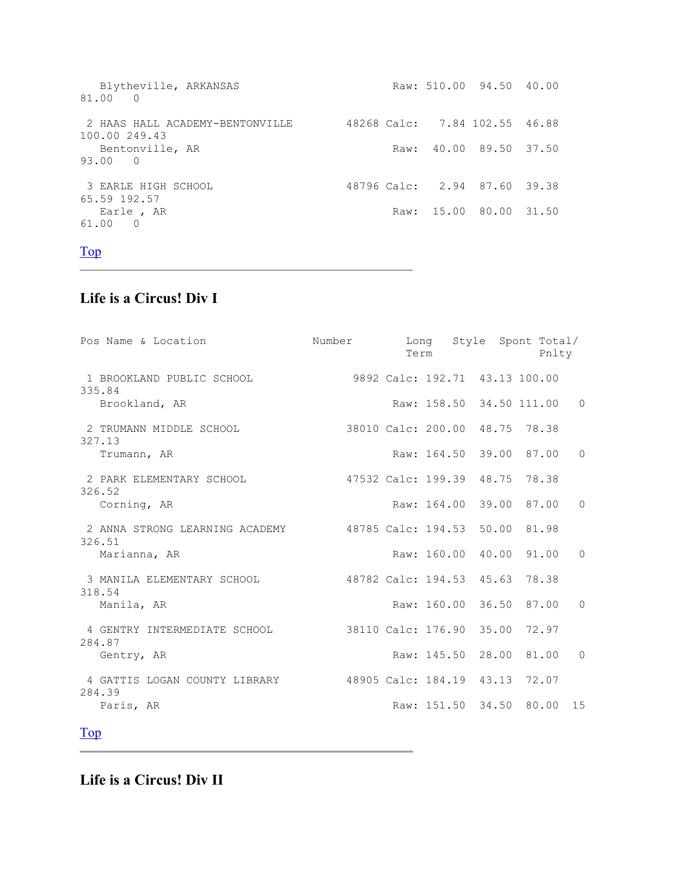```
Blytheville, ARKANSAS Raw: 510.00 94.50 40.00
81.00 0 
 2 HAAS HALL ACADEMY-BENTONVILLE 48268 Calc: 7.84 102.55 46.88 
100.00 249.43<br>Bentonville, AR
                                   Raw: 40.00 89.50 37.50
93.00 0 
 3 EARLE HIGH SCHOOL 48796 Calc: 2.94 87.60 39.38 
65.59 192.57 
 Earle , AR <br>Raw: 15.00 80.00 31.50
61.00 0
```
#### Life is a Circus! Div I

| Pos Name & Location                                                    |                                | Number Long Style Spont Total/<br>Term |                            | Pnlty |          |
|------------------------------------------------------------------------|--------------------------------|----------------------------------------|----------------------------|-------|----------|
| 1 BROOKLAND PUBLIC SCHOOL 9892 Calc: 192.71 43.13 100.00<br>335.84     |                                |                                        |                            |       |          |
| Brookland, AR                                                          |                                |                                        | Raw: 158.50 34.50 111.00 0 |       |          |
| 2 TRUMANN MIDDLE SCHOOL<br>327.13                                      | 38010 Calc: 200.00 48.75 78.38 |                                        |                            |       |          |
| Trumann, AR                                                            |                                |                                        | Raw: 164.50 39.00 87.00    |       | $\Omega$ |
| 2 PARK ELEMENTARY SCHOOL<br>326.52                                     | 47532 Calc: 199.39 48.75 78.38 |                                        |                            |       |          |
| Corning, AR                                                            |                                |                                        | Raw: 164.00 39.00 87.00    |       | $\Omega$ |
| 2 ANNA STRONG LEARNING ACADEMY<br>326.51                               | 48785 Calc: 194.53 50.00 81.98 |                                        |                            |       |          |
| Marianna, AR                                                           |                                |                                        | Raw: 160.00 40.00 91.00    |       | $\Omega$ |
| 3 MANILA ELEMENTARY SCHOOL<br>318.54                                   | 48782 Calc: 194.53 45.63 78.38 |                                        |                            |       |          |
| Manila, AR                                                             |                                |                                        | Raw: 160.00 36.50 87.00    |       | $\Omega$ |
| 4 GENTRY INTERMEDIATE SCHOOL<br>284.87                                 | 38110 Calc: 176.90 35.00 72.97 |                                        |                            |       |          |
| Gentry, AR                                                             |                                |                                        | Raw: 145.50 28.00 81.00    |       | $\Omega$ |
| 4 GATTIS LOGAN COUNTY LIBRARY 48905 Calc: 184.19 43.13 72.07<br>284.39 |                                |                                        |                            |       |          |
| Paris, AR                                                              |                                |                                        | Raw: 151.50 34.50 80.00 15 |       |          |

Top

Life is a Circus! Div II